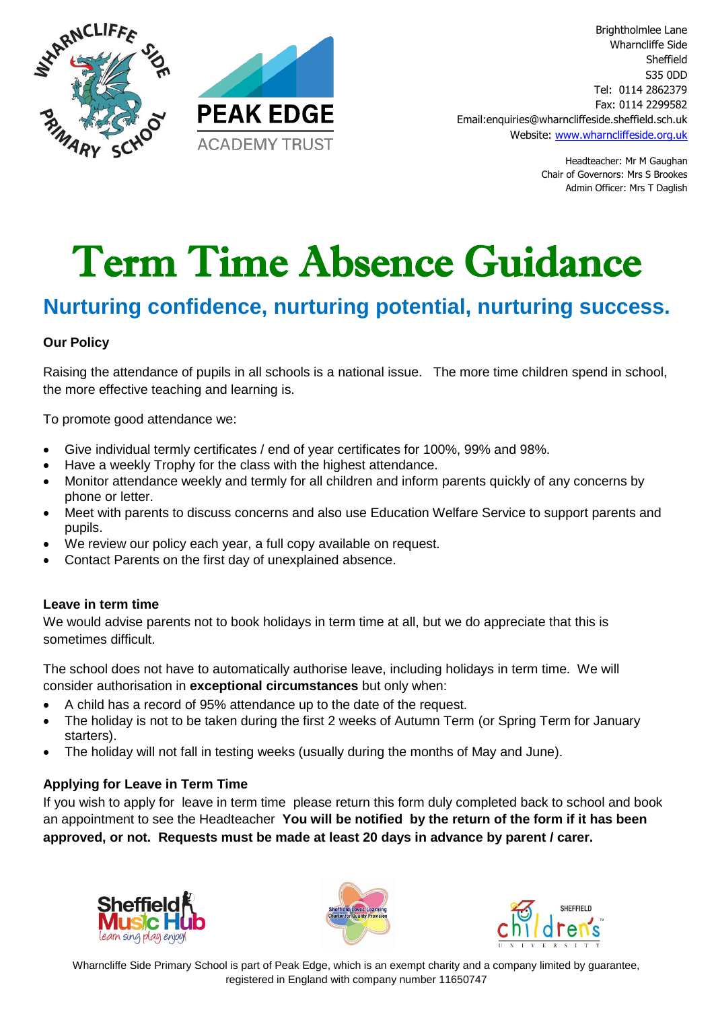



Headteacher: Mr M Gaughan Chair of Governors: Mrs S Brookes Admin Officer: Mrs T Daglish

# Term Time Absence Guidance

# **Nurturing confidence, nurturing potential, nurturing success.**

#### **Our Policy**

Raising the attendance of pupils in all schools is a national issue. The more time children spend in school, the more effective teaching and learning is.

To promote good attendance we:

- Give individual termly certificates / end of year certificates for 100%, 99% and 98%.
- Have a weekly Trophy for the class with the highest attendance.
- Monitor attendance weekly and termly for all children and inform parents quickly of any concerns by phone or letter.
- Meet with parents to discuss concerns and also use Education Welfare Service to support parents and pupils.
- We review our policy each year, a full copy available on request.
- Contact Parents on the first day of unexplained absence.

#### **Leave in term time**

We would advise parents not to book holidays in term time at all, but we do appreciate that this is sometimes difficult.

The school does not have to automatically authorise leave, including holidays in term time. We will consider authorisation in **exceptional circumstances** but only when:

- A child has a record of 95% attendance up to the date of the request.
- The holiday is not to be taken during the first 2 weeks of Autumn Term (or Spring Term for January starters).
- The holiday will not fall in testing weeks (usually during the months of May and June).

### **Applying for Leave in Term Time**

If you wish to apply for leave in term time please return this form duly completed back to school and book an appointment to see the Headteacher **You will be notified by the return of the form if it has been approved, or not. Requests must be made at least 20 days in advance by parent / carer.** 







Wharncliffe Side Primary School is part of Peak Edge, which is an exempt charity and a company limited by guarantee, registered in England with company number 11650747